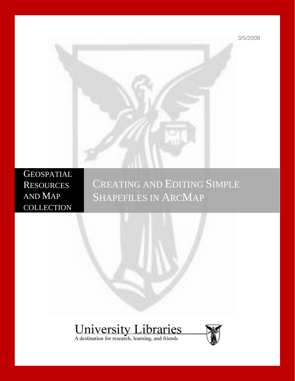3/5/2008



**GEOSPATIAL RESOURCES** AND MAP **COLLECTION** 

# CREATING AND EDITING SIMPLE SHAPEFILES IN ARCMAP

# **University Libraries**<br>A destination for research, learning, and friends

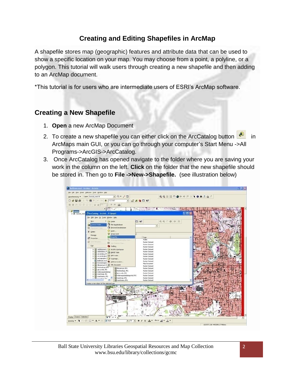## **Creating and Editing Shapefiles in ArcMap**

A shapefile stores map (geographic) features and attribute data that can be used to show a specific location on your map. You may choose from a point, a polyline, or a polygon. This tutorial will walk users through creating a new shapefile and then adding to an ArcMap document.

\*This tutorial is for users who are intermediate users of ESRI's ArcMap software.

### **Creating a New Shapefile**

- 1. **Open** a new ArcMap Document
- 2. To create a new shapefile you can either click on the ArcCatalog button  $\Box$  in ArcMaps main GUI, or you can go through your computer's Start Menu ->All Programs->ArcGIS->ArcCatalog.
- 3. Once ArcCatalog has opened navigate to the folder where you are saving your work in the column on the left. **Click** on the folder that the new shapefile should be stored in. Then go to **File ->New->Shapefile.** (see illustration below)

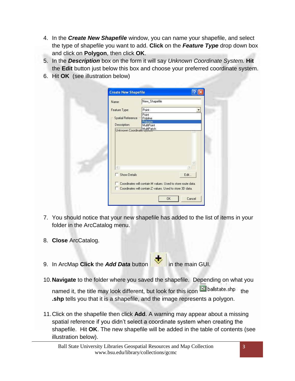- 4. In the *Create New Shapefile* window, you can name your shapefile, and select the type of shapefile you want to add. **Click** on the *Feature Type* drop down box and click on **Polygon**, then click **OK**.
- 5. In the *Description* box on the form it will say *Unknown Coordinate System.* **Hit** the **Edit** button just below this box and choose your preferred coordinate system.
- 6. Hit **OK** (see illustration below)

| Name:                                         | New_Shapefile     |
|-----------------------------------------------|-------------------|
| Feature Type:                                 | Point             |
| <b>Spatial Reference</b>                      | Point<br>Polyline |
|                                               | Polygon           |
| Description:<br>Unknown Coordinate MultiPatch | MultiPoint        |
|                                               |                   |
|                                               |                   |
| <b>Show Details</b>                           | Edit              |

- 7. You should notice that your new shapefile has added to the list of items in your folder in the ArcCatalog menu.
- 8. **Close** ArcCatalog.
- 9. In ArcMap **Click** the **Add Data** button **in the main GUI.**
- 10.**Navigate** to the folder where you saved the shapefile. Depending on what you named it, the title may look different, but look for this icon  $\Box$  ballstate.shp the **.shp** tells you that it is a shapefile, and the image represents a polygon.
- 11.Click on the shapefile then click **Add**. A warning may appear about a missing spatial reference if you didn't select a coordinate system when creating the shapefile. Hit **OK**. The new shapefile will be added in the table of contents (see illustration below).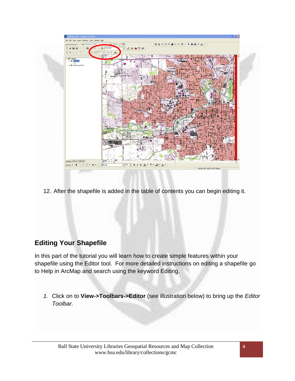

12. After the shapefile is added in the table of contents you can begin editing it.

### **Editing Your Shapefile**

In this part of the tutorial you will learn how to create simple features within your shapefile using the Editor tool. For more detailed instructions on editing a shapefile go to Help in ArcMap and search using the keyword Editing.

*1.* Click on to **View->Toolbars->Editor** (see illustration below) to bring up the *Editor Toolbar.*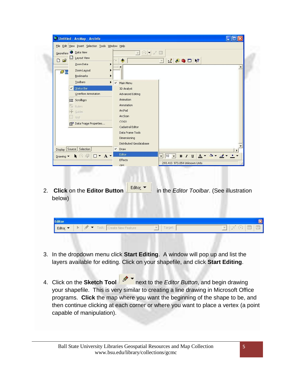|                                     | File Edit View Insert Selection Tools Window Help |                                                                                                                                                                                                         |  |
|-------------------------------------|---------------------------------------------------|---------------------------------------------------------------------------------------------------------------------------------------------------------------------------------------------------------|--|
| Georefere<br>$\mathbb{B}$<br>$\Box$ | Data View<br>Layout View<br>Zoom Data             | $\odot$ -<br>$\star^+$<br>四<br>$ \nabla $<br>$1000$ $R$<br>$\ddot{\mathbf{v}}$<br>$\overline{\tau}$                                                                                                     |  |
| ■国                                  | Zoom Layout<br>Bookmarks                          | $\boldsymbol{\mathsf{x}}$                                                                                                                                                                               |  |
|                                     | <b>Toolbars</b>                                   | Main Menu<br>$\checkmark$                                                                                                                                                                               |  |
|                                     | V Status Bar                                      | 3D Analyst                                                                                                                                                                                              |  |
|                                     | Overflow Annotation                               | Advanced Editing                                                                                                                                                                                        |  |
|                                     | <b>II</b> Scrollbars                              | Animation                                                                                                                                                                                               |  |
|                                     | <b>Es Rulers</b>                                  | Annotation                                                                                                                                                                                              |  |
|                                     | $\sum$ Guides                                     | ArcPad                                                                                                                                                                                                  |  |
|                                     | 鼸<br>Grid                                         | ArcScan<br>COGO                                                                                                                                                                                         |  |
|                                     | Data Frame Properties                             | Cadastral Editor                                                                                                                                                                                        |  |
|                                     |                                                   | Data Frame Tools                                                                                                                                                                                        |  |
|                                     |                                                   | Dimensioning                                                                                                                                                                                            |  |
|                                     |                                                   | Distributed Geodatabase                                                                                                                                                                                 |  |
| Display                             | Source Selection                                  | $\times$ Draw                                                                                                                                                                                           |  |
| Drawing                             | $\Box$ $\star$ $\Lambda$ $\star$<br>(5) 强         | Editor<br>$\frac{1}{\sqrt{10}}$ $\frac{1}{\sqrt{10}}$ B I U $\frac{1}{\sqrt{10}}$ $\frac{1}{\sqrt{10}}$ $\frac{1}{\sqrt{10}}$ B I U U $\frac{1}{\sqrt{10}}$ $\frac{1}{\sqrt{10}}$ $\frac{1}{\sqrt{10}}$ |  |
|                                     |                                                   | Effects<br>293.413 973.054 Unknown Units                                                                                                                                                                |  |
|                                     |                                                   | GPS                                                                                                                                                                                                     |  |
|                                     |                                                   |                                                                                                                                                                                                         |  |
|                                     |                                                   |                                                                                                                                                                                                         |  |
|                                     |                                                   |                                                                                                                                                                                                         |  |
|                                     | <b>Click on the Editor Button</b>                 | Editor ·<br>in the Editor Toolbar. (See illustration                                                                                                                                                    |  |
| below)                              |                                                   |                                                                                                                                                                                                         |  |
|                                     |                                                   |                                                                                                                                                                                                         |  |
|                                     |                                                   |                                                                                                                                                                                                         |  |
|                                     |                                                   |                                                                                                                                                                                                         |  |
|                                     |                                                   |                                                                                                                                                                                                         |  |
| <b>Editor</b>                       |                                                   |                                                                                                                                                                                                         |  |

- 3. In the dropdown menu click **Start Editing**. A window will pop up and list the layers available for editing. Click on your shapefile, and click **Start Editing**.
- 4. Click on the **Sketch Tool** next to the *Editor Button*, and begin drawing your shapefile. This is very similar to creating a line drawing in Microsoft Office programs. **Click** the map where you want the beginning of the shape to be, and then continue clicking at each corner or where you want to place a vertex (a point capable of manipulation).